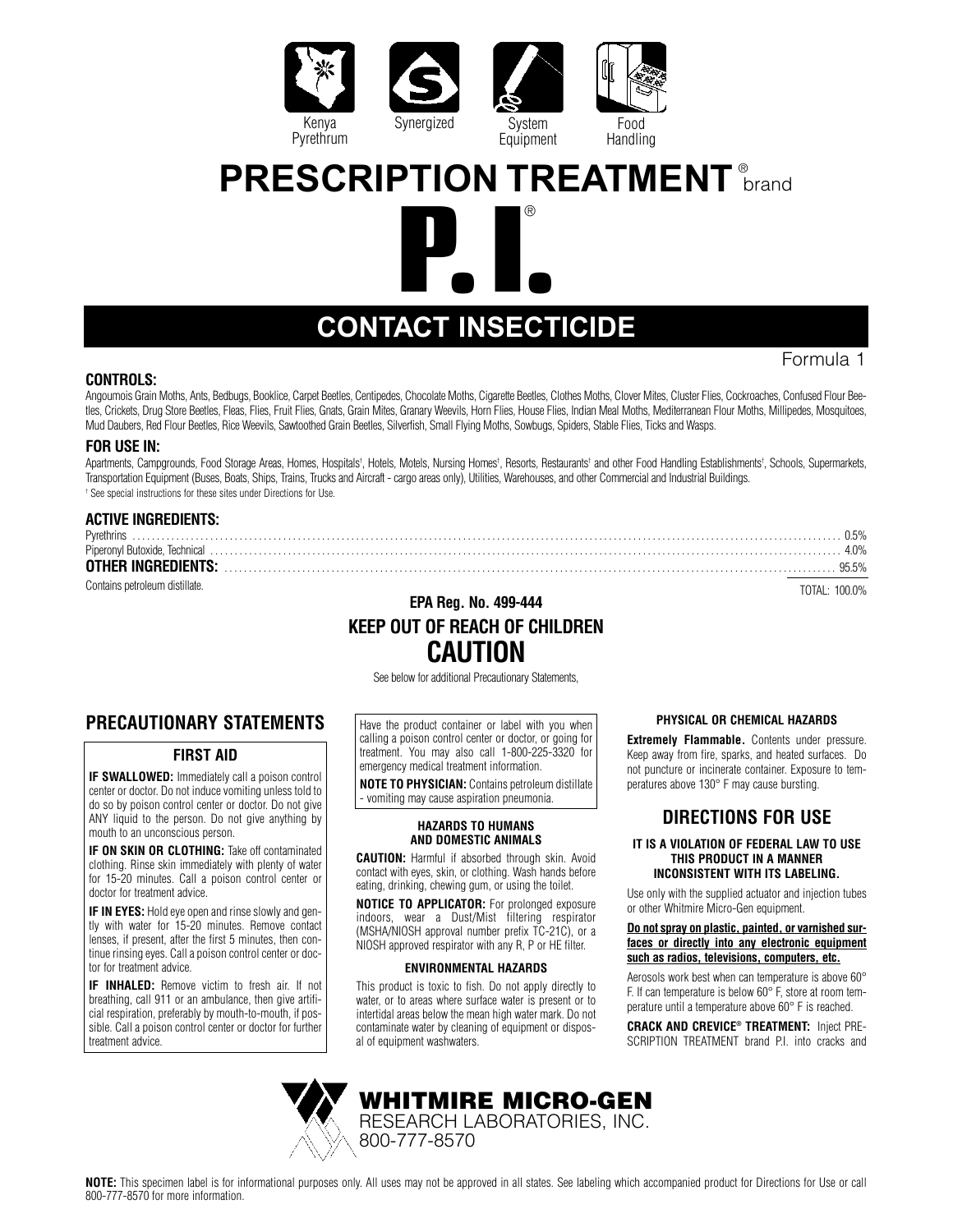





# **CONTACT INSECTICIDE**

#### **CONTROLS:**

Angoumois Grain Moths, Ants, Bedbugs, Booklice, Carpet Beetles, Centipedes, Chocolate Moths, Cigarette Beetles, Clothes Moths, Clover Mites, Cluster Flies, Cockroaches, Confused Flour Beetles, Crickets, Drug Store Beetles, Fleas, Flies, Fruit Flies, Gnats, Grain Mites, Granary Weevils, Horn Flies, House Flies, Indian Meal Moths, Mediterranean Flour Moths, Millipedes, Mosquitoes, Mud Daubers, Red Flour Beetles, Rice Weevils, Sawtoothed Grain Beetles, Silverfish, Small Flying Moths, Sowbugs, Spiders, Stable Flies, Ticks and Wasps.

#### **FOR USE IN:**

Apartments, Campgrounds, Food Storage Areas, Homes, Hospitals<sup>†</sup>, Hotels, Motels, Nursing Homes†, Resorts, Restaurants† and other Food Handling Establishments†, Schools, Supermarkets, Transportation Equipment (Buses, Boats, Ships, Trains, Trucks and Aircraft - cargo areas only), Utilities, Warehouses, and other Commercial and Industrial Buildings. † See special instructions for these sites under Directions for Use.

#### **ACTIVE INGREDIENTS:**

| Pyrethrin:                                                                                                                                                                                                                     | በ5%   |
|--------------------------------------------------------------------------------------------------------------------------------------------------------------------------------------------------------------------------------|-------|
| Piperonyl Butoxide, Technical with the content of the content of the content of the content of the content of the content of the content of the content of the content of the content of the content of the content of the con |       |
| <b>OTHER INGREDIENTS:</b>                                                                                                                                                                                                      | 95.5% |
| Contains petroleum distillate.                                                                                                                                                                                                 |       |

## **EPA Reg. No. 499-444 KEEP OUT OF REACH OF CHILDREN CAUTION**

See below for additional Precautionary Statements,

## **PRECAUTIONARY STATEMENTS**

#### **FIRST AID**

**IF SWALLOWED:** Immediately call a poison control center or doctor. Do not induce vomiting unless told to do so by poison control center or doctor. Do not give ANY liquid to the person. Do not give anything by mouth to an unconscious person.

**IF ON SKIN OR CLOTHING:** Take off contaminated clothing. Rinse skin immediately with plenty of water for 15-20 minutes. Call a poison control center or doctor for treatment advice.

**IF IN EYES:** Hold eye open and rinse slowly and gently with water for 15-20 minutes. Remove contact lenses, if present, after the first 5 minutes, then continue rinsing eyes. Call a poison control center or doctor for treatment advice.

**IF INHALED:** Remove victim to fresh air. If not breathing, call 911 or an ambulance, then give artificial respiration, preferably by mouth-to-mouth, if possible. Call a poison control center or doctor for further treatment advice.



#### Have the product container or label with you when calling a poison control center or doctor, or going for treatment. You may also call 1-800-225-3320 for emergency medical treatment information.

**NOTE TO PHYSICIAN:** Contains petroleum distillate - vomiting may cause aspiration pneumonia.

#### **HAZARDS TO HUMANS AND DOMESTIC ANIMALS**

**CAUTION:** Harmful if absorbed through skin. Avoid contact with eyes, skin, or clothing. Wash hands before eating, drinking, chewing gum, or using the toilet.

**NOTICE TO APPLICATOR:** For prolonged exposure indoors, wear a Dust/Mist filtering respirator (MSHA/NIOSH approval number prefix TC-21C), or a NIOSH approved respirator with any R, P or HE filter.

#### **ENVIRONMENTAL HAZARDS**

This product is toxic to fish. Do not apply directly to water, or to areas where surface water is present or to intertidal areas below the mean high water mark. Do not contaminate water by cleaning of equipment or disposal of equipment washwaters.

**WHITMIRE MICRO-GEN** RESEARCH LABORATORIES, INC.

#### **PHYSICAL OR CHEMICAL HAZARDS**

**Extremely Flammable.** Contents under pressure. Keep away from fire, sparks, and heated surfaces. Do not puncture or incinerate container. Exposure to temperatures above 130° F may cause bursting.

### **DIRECTIONS FOR USE**

#### **IT IS A VIOLATION OF FEDERAL LAW TO USE THIS PRODUCT IN A MANNER INCONSISTENT WITH ITS LABELING.**

Use only with the supplied actuator and injection tubes or other Whitmire Micro-Gen equipment.

#### **Do not spray on plastic, painted, or varnished surfaces or directly into any electronic equipment such as radios, televisions, computers, etc.**

Aerosols work best when can temperature is above 60° F. If can temperature is below 60° F, store at room temperature until a temperature above 60° F is reached.

**CRACK AND CREVICE® TREATMENT:** Inject PRE-SCRIPTION TREATMENT brand P.I. into cracks and

**NOTE:** This specimen label is for informational purposes only. All uses may not be approved in all states. See labeling which accompanied product for Directions for Use or call 800-777-8570 for more information.

800-777-8570

Formula 1